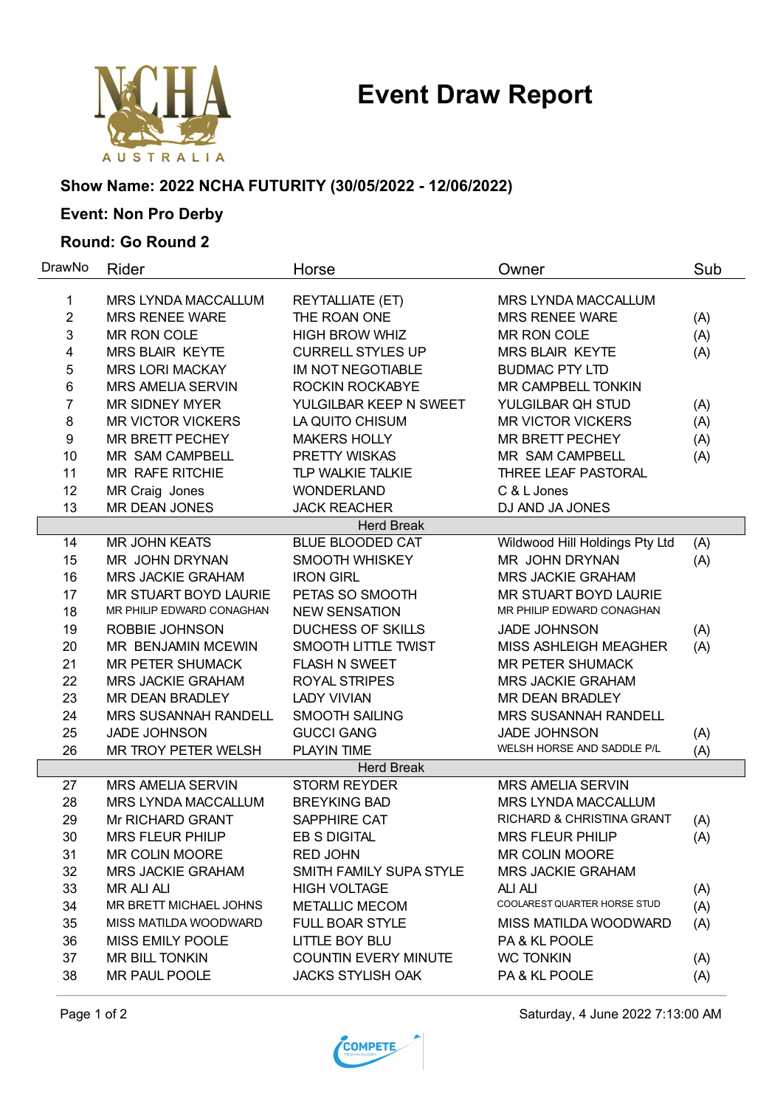# **Event Draw Report**



### **Show Name: 2022 NCHA FUTURITY (30/05/2022 - 12/06/2022)**

## **Event: Non Pro Derby**

#### **Round: Go Round 2**

| DrawNo         | Rider                      | Horse                       | Owner                          | Sub |
|----------------|----------------------------|-----------------------------|--------------------------------|-----|
| 1              | MRS LYNDA MACCALLUM        | <b>REYTALLIATE (ET)</b>     | MRS LYNDA MACCALLUM            |     |
| $\overline{2}$ | <b>MRS RENEE WARE</b>      | THE ROAN ONE                | <b>MRS RENEE WARE</b>          | (A) |
| 3              | MR RON COLE                | <b>HIGH BROW WHIZ</b>       | MR RON COLE                    | (A) |
| 4              | <b>MRS BLAIR KEYTE</b>     | <b>CURRELL STYLES UP</b>    | <b>MRS BLAIR KEYTE</b>         | (A) |
| 5              | <b>MRS LORI MACKAY</b>     | IM NOT NEGOTIABLE           | <b>BUDMAC PTY LTD</b>          |     |
| 6              | <b>MRS AMELIA SERVIN</b>   | ROCKIN ROCKABYE             | MR CAMPBELL TONKIN             |     |
| $\overline{7}$ | <b>MR SIDNEY MYER</b>      | YULGILBAR KEEP N SWEET      | YULGILBAR QH STUD              | (A) |
| 8              | <b>MR VICTOR VICKERS</b>   | LA QUITO CHISUM             | <b>MR VICTOR VICKERS</b>       | (A) |
| 9              | <b>MR BRETT PECHEY</b>     | <b>MAKERS HOLLY</b>         | MR BRETT PECHEY                | (A) |
| 10             | MR SAM CAMPBELL            | PRETTY WISKAS               | MR SAM CAMPBELL                | (A) |
| 11             | MR RAFE RITCHIE            | <b>TLP WALKIE TALKIE</b>    | THREE LEAF PASTORAL            |     |
| 12             | MR Craig Jones             | <b>WONDERLAND</b>           | C & L Jones                    |     |
| 13             | MR DEAN JONES              | <b>JACK REACHER</b>         | DJ AND JA JONES                |     |
|                |                            | <b>Herd Break</b>           |                                |     |
| 14             | <b>MR JOHN KEATS</b>       | <b>BLUE BLOODED CAT</b>     | Wildwood Hill Holdings Pty Ltd | (A) |
| 15             | MR JOHN DRYNAN             | SMOOTH WHISKEY              | MR JOHN DRYNAN                 | (A) |
| 16             | <b>MRS JACKIE GRAHAM</b>   | <b>IRON GIRL</b>            | <b>MRS JACKIE GRAHAM</b>       |     |
| 17             | MR STUART BOYD LAURIE      | PETAS SO SMOOTH             | MR STUART BOYD LAURIE          |     |
| 18             | MR PHILIP EDWARD CONAGHAN  | <b>NEW SENSATION</b>        | MR PHILIP EDWARD CONAGHAN      |     |
| 19             | ROBBIE JOHNSON             | <b>DUCHESS OF SKILLS</b>    | <b>JADE JOHNSON</b>            | (A) |
| 20             | MR BENJAMIN MCEWIN         | SMOOTH LITTLE TWIST         | MISS ASHLEIGH MEAGHER          | (A) |
| 21             | <b>MR PETER SHUMACK</b>    | <b>FLASH N SWEET</b>        | <b>MR PETER SHUMACK</b>        |     |
| 22             | <b>MRS JACKIE GRAHAM</b>   | <b>ROYAL STRIPES</b>        | <b>MRS JACKIE GRAHAM</b>       |     |
| 23             | <b>MR DEAN BRADLEY</b>     | <b>LADY VIVIAN</b>          | MR DEAN BRADLEY                |     |
| 24             | MRS SUSANNAH RANDELL       | <b>SMOOTH SAILING</b>       | <b>MRS SUSANNAH RANDELL</b>    |     |
| 25             | <b>JADE JOHNSON</b>        | <b>GUCCI GANG</b>           | <b>JADE JOHNSON</b>            | (A) |
| 26             | MR TROY PETER WELSH        | PLAYIN TIME                 | WELSH HORSE AND SADDLE P/L     | (A) |
|                |                            | <b>Herd Break</b>           |                                |     |
| 27             | <b>MRS AMELIA SERVIN</b>   | <b>STORM REYDER</b>         | <b>MRS AMELIA SERVIN</b>       |     |
| 28             | <b>MRS LYNDA MACCALLUM</b> | <b>BREYKING BAD</b>         | MRS LYNDA MACCALLUM            |     |
| 29             | Mr RICHARD GRANT           | SAPPHIRE CAT                | RICHARD & CHRISTINA GRANT      | (A) |
| 30             | <b>MRS FLEUR PHILIP</b>    | <b>EB S DIGITAL</b>         | <b>MRS FLEUR PHILIP</b>        | (A) |
| 31             | <b>MR COLIN MOORE</b>      | <b>RED JOHN</b>             | <b>MR COLIN MOORE</b>          |     |
| 32             | MRS JACKIE GRAHAM          | SMITH FAMILY SUPA STYLE     | MRS JACKIE GRAHAM              |     |
| 33             | <b>MR ALI ALI</b>          | <b>HIGH VOLTAGE</b>         | <b>ALI ALI</b>                 | (A) |
| 34             | MR BRETT MICHAEL JOHNS     | <b>METALLIC MECOM</b>       | COOLAREST QUARTER HORSE STUD   | (A) |
| 35             | MISS MATILDA WOODWARD      | FULL BOAR STYLE             | MISS MATILDA WOODWARD          | (A) |
| 36             | <b>MISS EMILY POOLE</b>    | LITTLE BOY BLU              | <b>PA &amp; KL POOLE</b>       |     |
| 37             | MR BILL TONKIN             | <b>COUNTIN EVERY MINUTE</b> | <b>WC TONKIN</b>               | (A) |
| 38             | MR PAUL POOLE              | <b>JACKS STYLISH OAK</b>    | PA & KL POOLE                  | (A) |